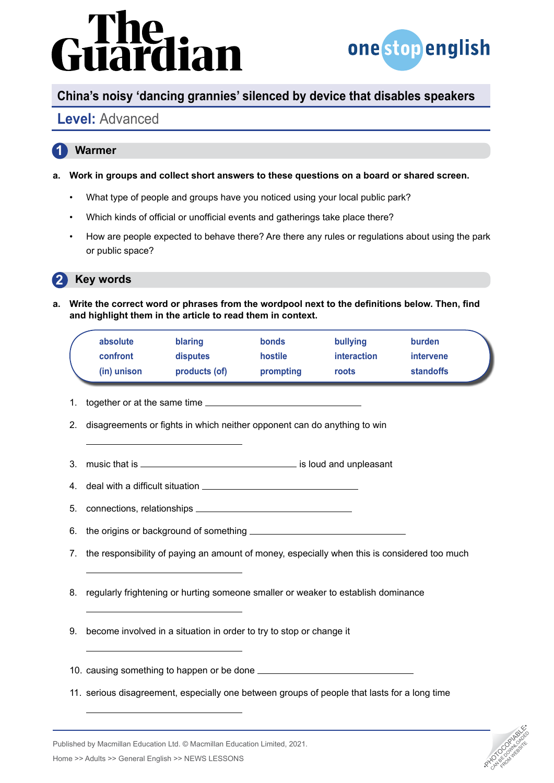# lian



CAN BE DOWNLOAD FROM WEBSITE

## **China's noisy 'dancing grannies' silenced by device that disables speakers**

## **Level:** Advanced

#### **1 Warmer**

- **a. Work in groups and collect short answers to these questions on a board or shared screen.**
	- What type of people and groups have you noticed using your local public park?
	- Which kinds of official or unofficial events and gatherings take place there?
	- How are people expected to behave there? Are there any rules or regulations about using the park or public space?

#### **2 Key words**

**a. Write the correct word or phrases from the wordpool next to the definitions below. Then, find and highlight them in the article to read them in context.** 

| absolute    | blaring         | <b>bonds</b> | bullying           | burden           |  |
|-------------|-----------------|--------------|--------------------|------------------|--|
| confront    | <b>disputes</b> | hostile      | <i>interaction</i> | intervene        |  |
| (in) unison | products (of)   | prompting    | roots              | <b>standoffs</b> |  |

- 1. together or at the same time **contained**
- 2. disagreements or fights in which neither opponent can do anything to win
- 3. music that is <u>\_\_\_\_\_\_\_\_\_\_\_\_\_\_\_\_\_\_\_\_\_\_\_\_\_\_\_\_\_\_\_\_</u> is loud and unpleasant
- 4. deal with a difficult situation
- 5. connections, relationships
- 6. the origins or background of something
- 7. the responsibility of paying an amount of money, especially when this is considered too much
- 8. regularly frightening or hurting someone smaller or weaker to establish dominance
- 9. become involved in a situation in order to try to stop or change it
- 10. causing something to happen or be done
- 11. serious disagreement, especially one between groups of people that lasts for a long time

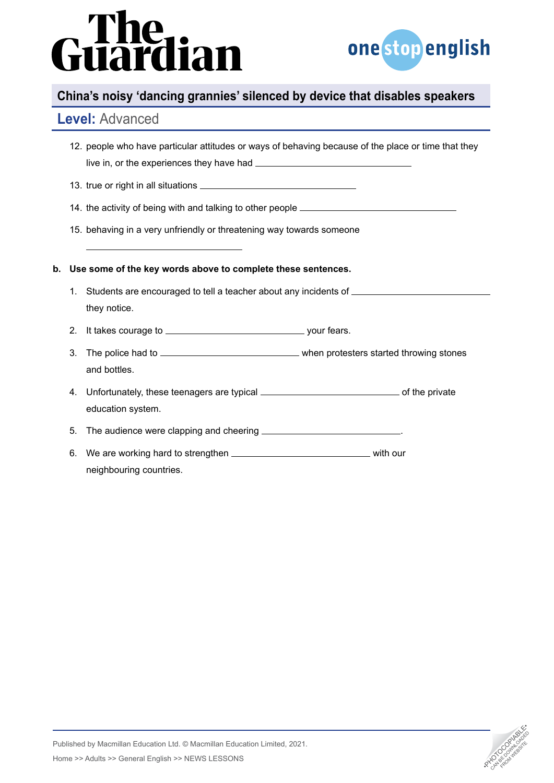# dian M



### **China's noisy 'dancing grannies' silenced by device that disables speakers**

#### **Level:** Advanced

| 12. people who have particular attitudes or ways of behaving because of the place or time that they |  |
|-----------------------------------------------------------------------------------------------------|--|
| live in, or the experiences they have had.                                                          |  |

13. true or right in all situations

14. the activity of being with and talking to other people

15. behaving in a very unfriendly or threatening way towards someone

#### **b. Use some of the key words above to complete these sentences.**

- 1. Students are encouraged to tell a teacher about any incidents of they notice.
- 2. It takes courage to your fears.
- 3. The police had to when protesters started throwing stones and bottles.
- 4. Unfortunately, these teenagers are typical **constant the private** of the private education system.

5. The audience were clapping and cheering .

6. We are working hard to strengthen **with and your** with our neighbouring countries.



Published by Macmillan Education Ltd. © Macmillan Education Limited, 2021. Analysished by Macmillan Education Ltd. © Macmillan Education Limited, 2021.<br>Home >> Adults >> General English >> NEWS LESSONS •PHOTOCOPIA •PHOTOCOPIA •PHOTOCOPIA •PHOTOCOPIA •PHOTOCOPIA<br>Analysis •Photocopy •PHOTOCOPIA •PH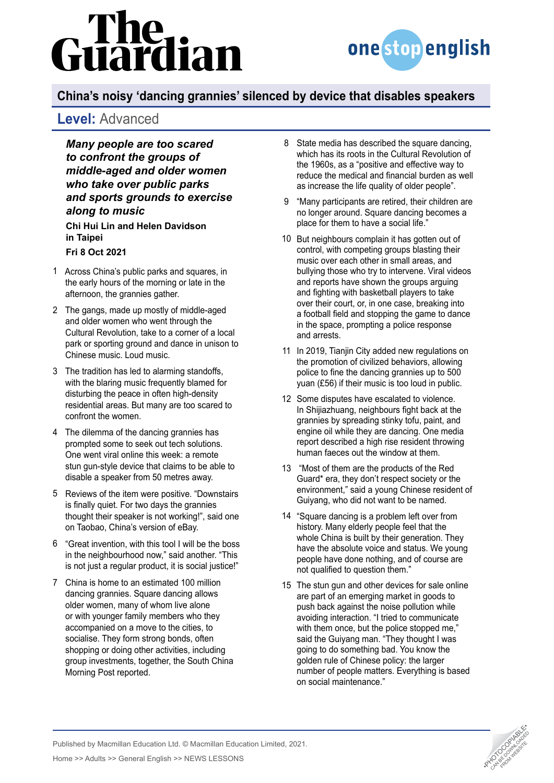# lian



# **China's noisy 'dancing grannies' silenced by device that disables speakers**

### **Level:** Advanced

*Many people are too scared to confront the groups of middle-aged and older women who take over public parks and sports grounds to exercise along to music*

**Chi Hui Lin and Helen Davidson in Taipei**

#### **Fri 8 Oct 2021**

- Across China's public parks and squares, in 1 the early hours of the morning or late in the afternoon, the grannies gather.
- The gangs, made up mostly of middle-aged 2 and older women who went through the Cultural Revolution, take to a corner of a local park or sporting ground and dance in unison to Chinese music. Loud music.
- The tradition has led to alarming standoffs, 3 with the blaring music frequently blamed for disturbing the peace in often high-density residential areas. But many are too scared to confront the women.
- The dilemma of the dancing grannies has 4 prompted some to seek out tech solutions. One went viral online this week: a remote stun gun-style device that claims to be able to disable a speaker from 50 metres away.
- 5 Reviews of the item were positive. "Downstairs" is finally quiet. For two days the grannies thought their speaker is not working!", said one on Taobao, China's version of eBay.
- "Great invention, with this tool I will be the boss 6 in the neighbourhood now," said another. "This is not just a regular product, it is social justice!"
- China is home to an estimated 100 million 7 dancing grannies. Square dancing allows older women, many of whom live alone or with younger family members who they accompanied on a move to the cities, to socialise. They form strong bonds, often shopping or doing other activities, including group investments, together, the South China Morning Post reported.
- 8 State media has described the square dancing, which has its roots in the Cultural Revolution of the 1960s, as a "positive and effective way to reduce the medical and financial burden as well as increase the life quality of older people".
- "Many participants are retired, their children are 9 no longer around. Square dancing becomes a place for them to have a social life."
- 10 But neighbours complain it has gotten out of control, with competing groups blasting their music over each other in small areas, and bullying those who try to intervene. Viral videos and reports have shown the groups arguing and fighting with basketball players to take over their court, or, in one case, breaking into a football field and stopping the game to dance in the space, prompting a police response and arrests.
- In 2019, Tianjin City added new regulations on 11 the promotion of civilized behaviors, allowing police to fine the dancing grannies up to 500 yuan (£56) if their music is too loud in public.
- 12 Some disputes have escalated to violence. In Shijiazhuang, neighbours fight back at the grannies by spreading stinky tofu, paint, and engine oil while they are dancing. One media report described a high rise resident throwing human faeces out the window at them.
- 13 "Most of them are the products of the Red Guard\* era, they don't respect society or the environment," said a young Chinese resident of Guiyang, who did not want to be named.
- "Square dancing is a problem left over from 14 history. Many elderly people feel that the whole China is built by their generation. They have the absolute voice and status. We young people have done nothing, and of course are not qualified to question them."
- 15 The stun gun and other devices for sale online are part of an emerging market in goods to push back against the noise pollution while avoiding interaction. "I tried to communicate with them once, but the police stopped me," said the Guiyang man. "They thought I was going to do something bad. You know the golden rule of Chinese policy: the larger number of people matters. Everything is based on social maintenance."

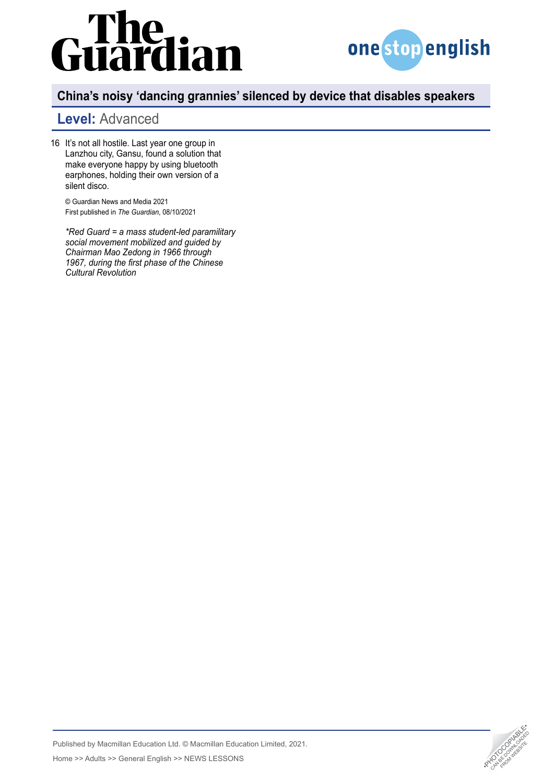# iardian



## **China's noisy 'dancing grannies' silenced by device that disables speakers**

# **Level:** Advanced

16 It's not all hostile. Last year one group in Lanzhou city, Gansu, found a solution that make everyone happy by using bluetooth earphones, holding their own version of a silent disco.

© Guardian News and Media 2021 First published in *The Guardian*, 08/10/2021

*\*Red Guard = a mass student-led paramilitary social movement mobilized and guided by Chairman Mao Zedong in 1966 through 1967, during the first phase of the Chinese Cultural Revolution*



Published by Macmillan Education Ltd. © Macmillan Education Limited, 2021. Analysished by Macmillan Education Ltd. © Macmillan Education Limited, 2021.<br>Home >> Adults >> General English >> NEWS LESSONS •PHOTOCOPIA •PHOTOCOPIA •PHOTOCOPIA •PHOTOCOPIA •PHOTOCOPIA<br>Analysis •Photocopy •PHOTOCOPIA •PH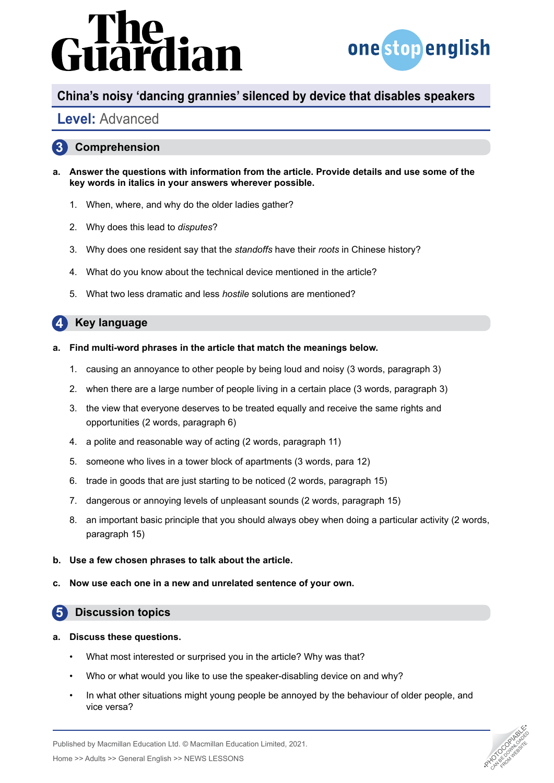# dian



#### **China's noisy 'dancing grannies' silenced by device that disables speakers**

### **Level:** Advanced

#### **3 Comprehension**

- **a. Answer the questions with information from the article. Provide details and use some of the key words in italics in your answers wherever possible.**
	- 1. When, where, and why do the older ladies gather?
	- 2. Why does this lead to *disputes*?
	- 3. Why does one resident say that the *standoffs* have their *roots* in Chinese history?
	- 4. What do you know about the technical device mentioned in the article?
	- 5. What two less dramatic and less *hostile* solutions are mentioned?

#### **4 Key language**

- **a. Find multi-word phrases in the article that match the meanings below.**
	- 1. causing an annoyance to other people by being loud and noisy (3 words, paragraph 3)
	- 2. when there are a large number of people living in a certain place (3 words, paragraph 3)
	- 3. the view that everyone deserves to be treated equally and receive the same rights and opportunities (2 words, paragraph 6)
	- 4. a polite and reasonable way of acting (2 words, paragraph 11)
	- 5. someone who lives in a tower block of apartments (3 words, para 12)
	- 6. trade in goods that are just starting to be noticed (2 words, paragraph 15)
	- 7. dangerous or annoying levels of unpleasant sounds (2 words, paragraph 15)
	- 8. an important basic principle that you should always obey when doing a particular activity (2 words, paragraph 15)
- **b. Use a few chosen phrases to talk about the article.**
- **c. Now use each one in a new and unrelated sentence of your own.**

#### **5 Discussion topics**

- **a. Discuss these questions.**
	- What most interested or surprised you in the article? Why was that?
	- Who or what would you like to use the speaker-disabling device on and why?
	- In what other situations might young people be annoyed by the behaviour of older people, and vice versa?



Published by Macmillan Education Ltd. © Macmillan Education Limited, 2021. Analysished by Macmillan Education Ltd. © Macmillan Education Limited, 2021.<br>Home >> Adults >> General English >> NEWS LESSONS